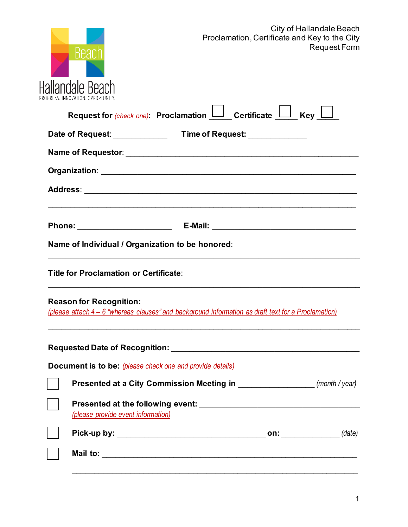

| OGRESS. INNOVATION. OPPORTUNITY.                                                                                                      |
|---------------------------------------------------------------------------------------------------------------------------------------|
| Request for (check one): Proclamation $\Box$ Certificate $\Box$ Key                                                                   |
|                                                                                                                                       |
|                                                                                                                                       |
|                                                                                                                                       |
|                                                                                                                                       |
|                                                                                                                                       |
| Name of Individual / Organization to be honored:                                                                                      |
| <b>Title for Proclamation or Certificate:</b>                                                                                         |
| <b>Reason for Recognition:</b><br>(please attach 4 – 6 "whereas clauses" and background information as draft text for a Proclamation) |
|                                                                                                                                       |
| <b>Document is to be:</b> (please check one and provide details)                                                                      |
| Presented at a City Commission Meeting in ________________________ (month / year)                                                     |
| (please provide event information)                                                                                                    |
|                                                                                                                                       |
|                                                                                                                                       |
|                                                                                                                                       |